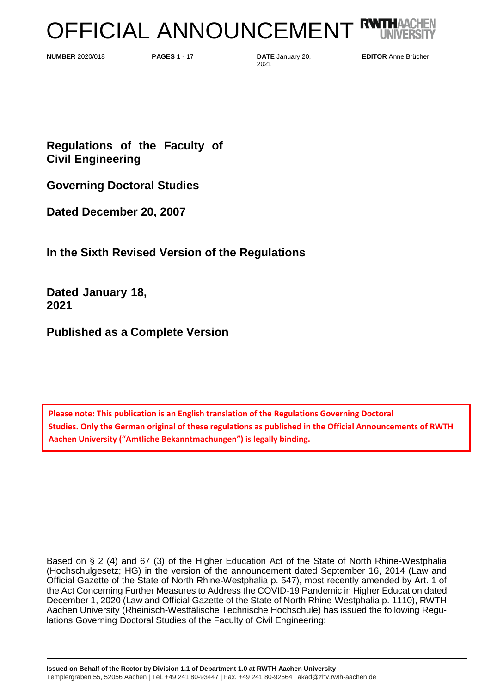# OFFICIAL ANNOUNCEMENT RUTH

**NUMBER** 2020/018 **PAGES** 1 - 17 **DATE** January 20,

2021

**EDITOR** Anne Brücher

**Regulations of the Faculty of Civil Engineering**

**Governing Doctoral Studies**

**Dated December 20, 2007**

**In the Sixth Revised Version of the Regulations**

**Dated January 18, 2021**

**Published as a Complete Version**

**Please note: This publication is an English translation of the Regulations Governing Doctoral Studies. Only the German original of these regulations as published in the Official Announcements of RWTH Aachen University ("Amtliche Bekanntmachungen") is legally binding.**

Based on § 2 (4) and 67 (3) of the Higher Education Act of the State of North Rhine-Westphalia (Hochschulgesetz; HG) in the version of the announcement dated September 16, 2014 (Law and Official Gazette of the State of North Rhine-Westphalia p. 547), most recently amended by Art. 1 of the Act Concerning Further Measures to Address the COVID-19 Pandemic in Higher Education dated December 1, 2020 (Law and Official Gazette of the State of North Rhine-Westphalia p. 1110), RWTH Aachen University (Rheinisch-Westfälische Technische Hochschule) has issued the following Regulations Governing Doctoral Studies of the Faculty of Civil Engineering: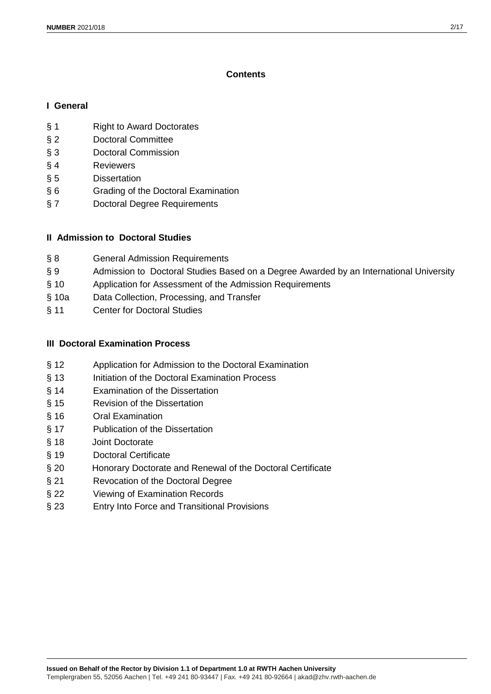# **Contents**

## **I General**

- § 1 Right to Award Doctorates
- § 2 Doctoral Committee
- § 3 Doctoral Commission
- § 4 Reviewers
- § 5 Dissertation
- § 6 Grading of the Doctoral Examination
- § 7 Doctoral Degree Requirements

# **II Admission to Doctoral Studies**

- § 8 **General Admission Requirements**
- § 9 Admission to Doctoral Studies Based on a Degree Awarded by an International University
- § 10 Application for Assessment of the Admission Requirements
- § 10a Data Collection, Processing, and Transfer
- § 11 Center for Doctoral Studies

# **III Doctoral Examination Process**

- § 12 Application for Admission to the Doctoral Examination
- § 13 Initiation of the Doctoral Examination Process
- § 14 Examination of the Dissertation
- § 15 Revision of the Dissertation
- § 16 Oral Examination
- § 17 Publication of the Dissertation
- § 18 Joint Doctorate
- § 19 Doctoral Certificate
- § 20 Honorary Doctorate and Renewal of the Doctoral Certificate
- § 21 Revocation of the Doctoral Degree
- § 22 Viewing of Examination Records
- § 23 Entry Into Force and Transitional Provisions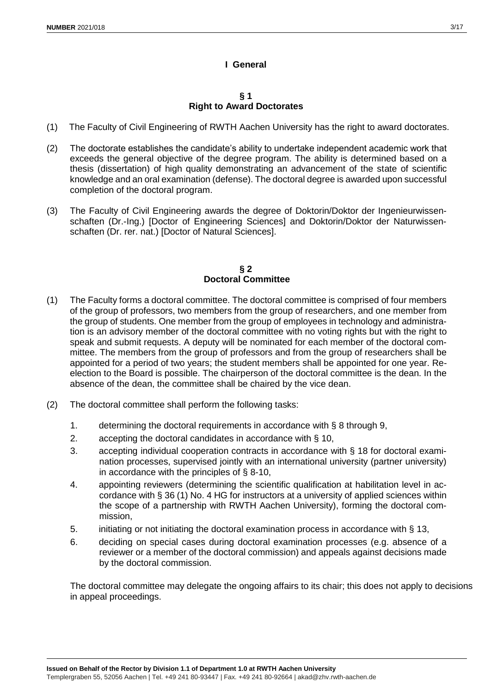# **I General**

#### **§ 1 Right to Award Doctorates**

- (1) The Faculty of Civil Engineering of RWTH Aachen University has the right to award doctorates.
- (2) The doctorate establishes the candidate's ability to undertake independent academic work that exceeds the general objective of the degree program. The ability is determined based on a thesis (dissertation) of high quality demonstrating an advancement of the state of scientific knowledge and an oral examination (defense). The doctoral degree is awarded upon successful completion of the doctoral program.
- (3) The Faculty of Civil Engineering awards the degree of Doktorin/Doktor der Ingenieurwissenschaften (Dr.-Ing.) [Doctor of Engineering Sciences] and Doktorin/Doktor der Naturwissenschaften (Dr. rer. nat.) [Doctor of Natural Sciences].

#### **§ 2 Doctoral Committee**

- (1) The Faculty forms a doctoral committee. The doctoral committee is comprised of four members of the group of professors, two members from the group of researchers, and one member from the group of students. One member from the group of employees in technology and administration is an advisory member of the doctoral committee with no voting rights but with the right to speak and submit requests. A deputy will be nominated for each member of the doctoral committee. The members from the group of professors and from the group of researchers shall be appointed for a period of two years; the student members shall be appointed for one year. Reelection to the Board is possible. The chairperson of the doctoral committee is the dean. In the absence of the dean, the committee shall be chaired by the vice dean.
- (2) The doctoral committee shall perform the following tasks:
	- 1. determining the doctoral requirements in accordance with § 8 through 9,
	- 2. accepting the doctoral candidates in accordance with § 10,
	- 3. accepting individual cooperation contracts in accordance with § 18 for doctoral examination processes, supervised jointly with an international university (partner university) in accordance with the principles of § 8-10,
	- 4. appointing reviewers (determining the scientific qualification at habilitation level in accordance with § 36 (1) No. 4 HG for instructors at a university of applied sciences within the scope of a partnership with RWTH Aachen University), forming the doctoral commission,
	- 5. initiating or not initiating the doctoral examination process in accordance with § 13,
	- 6. deciding on special cases during doctoral examination processes (e.g. absence of a reviewer or a member of the doctoral commission) and appeals against decisions made by the doctoral commission.

The doctoral committee may delegate the ongoing affairs to its chair; this does not apply to decisions in appeal proceedings.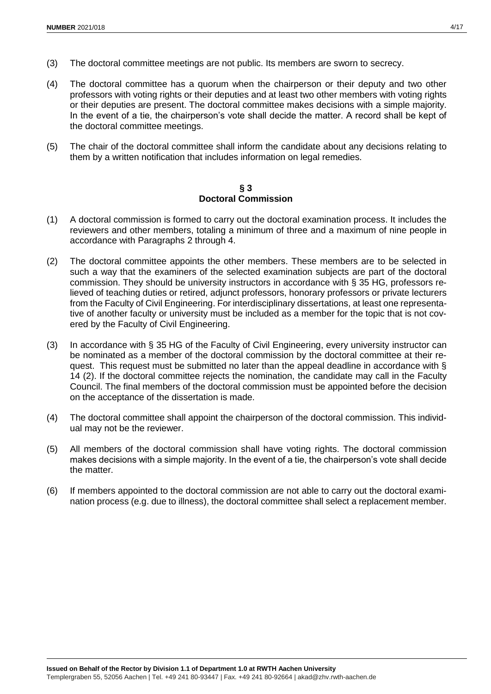- (3) The doctoral committee meetings are not public. Its members are sworn to secrecy.
- (4) The doctoral committee has a quorum when the chairperson or their deputy and two other professors with voting rights or their deputies and at least two other members with voting rights or their deputies are present. The doctoral committee makes decisions with a simple majority. In the event of a tie, the chairperson's vote shall decide the matter. A record shall be kept of the doctoral committee meetings.
- (5) The chair of the doctoral committee shall inform the candidate about any decisions relating to them by a written notification that includes information on legal remedies.

**§ 3 Doctoral Commission**

- (1) A doctoral commission is formed to carry out the doctoral examination process. It includes the reviewers and other members, totaling a minimum of three and a maximum of nine people in accordance with Paragraphs 2 through 4.
- (2) The doctoral committee appoints the other members. These members are to be selected in such a way that the examiners of the selected examination subjects are part of the doctoral commission. They should be university instructors in accordance with § 35 HG, professors relieved of teaching duties or retired, adjunct professors, honorary professors or private lecturers from the Faculty of Civil Engineering. For interdisciplinary dissertations, at least one representative of another faculty or university must be included as a member for the topic that is not covered by the Faculty of Civil Engineering.
- (3) In accordance with § 35 HG of the Faculty of Civil Engineering, every university instructor can be nominated as a member of the doctoral commission by the doctoral committee at their request. This request must be submitted no later than the appeal deadline in accordance with § 14 (2). If the doctoral committee rejects the nomination, the candidate may call in the Faculty Council. The final members of the doctoral commission must be appointed before the decision on the acceptance of the dissertation is made.
- (4) The doctoral committee shall appoint the chairperson of the doctoral commission. This individual may not be the reviewer.
- (5) All members of the doctoral commission shall have voting rights. The doctoral commission makes decisions with a simple majority. In the event of a tie, the chairperson's vote shall decide the matter.
- (6) If members appointed to the doctoral commission are not able to carry out the doctoral examination process (e.g. due to illness), the doctoral committee shall select a replacement member.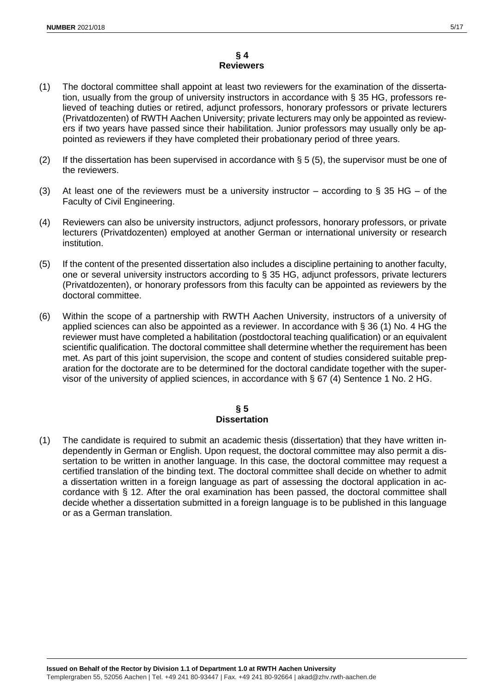## **§ 4 Reviewers**

- (1) The doctoral committee shall appoint at least two reviewers for the examination of the dissertation, usually from the group of university instructors in accordance with § 35 HG, professors relieved of teaching duties or retired, adjunct professors, honorary professors or private lecturers (Privatdozenten) of RWTH Aachen University; private lecturers may only be appointed as reviewers if two years have passed since their habilitation. Junior professors may usually only be appointed as reviewers if they have completed their probationary period of three years.
- (2) If the dissertation has been supervised in accordance with  $\S 5$  (5), the supervisor must be one of the reviewers.
- (3) At least one of the reviewers must be a university instructor according to  $\S$  35 HG of the Faculty of Civil Engineering.
- (4) Reviewers can also be university instructors, adjunct professors, honorary professors, or private lecturers (Privatdozenten) employed at another German or international university or research institution.
- (5) If the content of the presented dissertation also includes a discipline pertaining to another faculty, one or several university instructors according to § 35 HG, adjunct professors, private lecturers (Privatdozenten), or honorary professors from this faculty can be appointed as reviewers by the doctoral committee.
- (6) Within the scope of a partnership with RWTH Aachen University, instructors of a university of applied sciences can also be appointed as a reviewer. In accordance with § 36 (1) No. 4 HG the reviewer must have completed a habilitation (postdoctoral teaching qualification) or an equivalent scientific qualification. The doctoral committee shall determine whether the requirement has been met. As part of this joint supervision, the scope and content of studies considered suitable preparation for the doctorate are to be determined for the doctoral candidate together with the supervisor of the university of applied sciences, in accordance with § 67 (4) Sentence 1 No. 2 HG.

## **§ 5 Dissertation**

(1) The candidate is required to submit an academic thesis (dissertation) that they have written independently in German or English. Upon request, the doctoral committee may also permit a dissertation to be written in another language. In this case, the doctoral committee may request a certified translation of the binding text. The doctoral committee shall decide on whether to admit a dissertation written in a foreign language as part of assessing the doctoral application in accordance with § 12. After the oral examination has been passed, the doctoral committee shall decide whether a dissertation submitted in a foreign language is to be published in this language or as a German translation.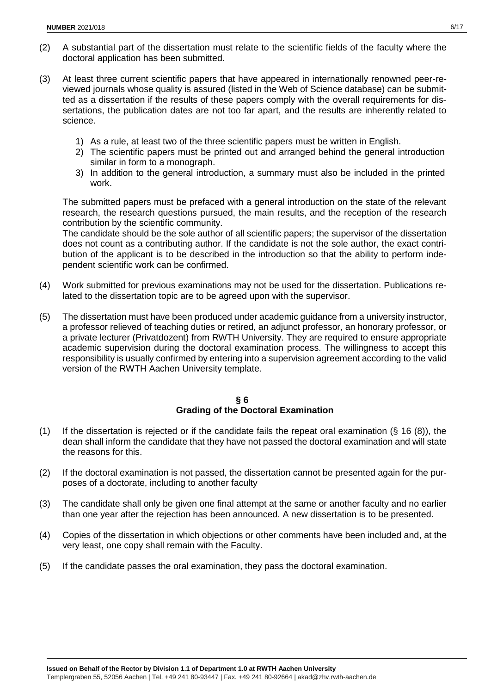- (2) A substantial part of the dissertation must relate to the scientific fields of the faculty where the doctoral application has been submitted.
- (3) At least three current scientific papers that have appeared in internationally renowned peer-reviewed journals whose quality is assured (listed in the Web of Science database) can be submitted as a dissertation if the results of these papers comply with the overall requirements for dissertations, the publication dates are not too far apart, and the results are inherently related to science.
	- 1) As a rule, at least two of the three scientific papers must be written in English.
	- 2) The scientific papers must be printed out and arranged behind the general introduction similar in form to a monograph.
	- 3) In addition to the general introduction, a summary must also be included in the printed work.

The submitted papers must be prefaced with a general introduction on the state of the relevant research, the research questions pursued, the main results, and the reception of the research contribution by the scientific community.

The candidate should be the sole author of all scientific papers; the supervisor of the dissertation does not count as a contributing author. If the candidate is not the sole author, the exact contribution of the applicant is to be described in the introduction so that the ability to perform independent scientific work can be confirmed.

- (4) Work submitted for previous examinations may not be used for the dissertation. Publications related to the dissertation topic are to be agreed upon with the supervisor.
- (5) The dissertation must have been produced under academic guidance from a university instructor, a professor relieved of teaching duties or retired, an adjunct professor, an honorary professor, or a private lecturer (Privatdozent) from RWTH University. They are required to ensure appropriate academic supervision during the doctoral examination process. The willingness to accept this responsibility is usually confirmed by entering into a supervision agreement according to the valid version of the RWTH Aachen University template.

## **§ 6 Grading of the Doctoral Examination**

- (1) If the dissertation is rejected or if the candidate fails the repeat oral examination  $(\S 16 (8))$ , the dean shall inform the candidate that they have not passed the doctoral examination and will state the reasons for this.
- (2) If the doctoral examination is not passed, the dissertation cannot be presented again for the purposes of a doctorate, including to another faculty
- (3) The candidate shall only be given one final attempt at the same or another faculty and no earlier than one year after the rejection has been announced. A new dissertation is to be presented.
- (4) Copies of the dissertation in which objections or other comments have been included and, at the very least, one copy shall remain with the Faculty.
- (5) If the candidate passes the oral examination, they pass the doctoral examination.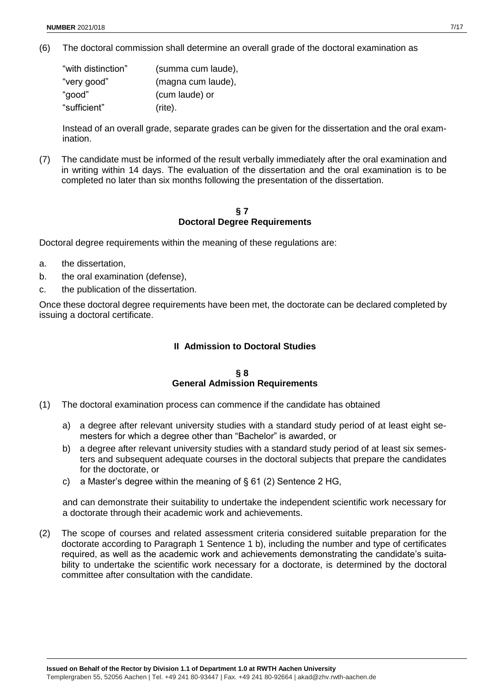(6) The doctoral commission shall determine an overall grade of the doctoral examination as

| "with distinction" | (summa cum laude), |
|--------------------|--------------------|
| "very good"        | (magna cum laude), |
| "good"             | (cum laude) or     |
| "sufficient"       | $(rite)$ .         |

Instead of an overall grade, separate grades can be given for the dissertation and the oral examination.

(7) The candidate must be informed of the result verbally immediately after the oral examination and in writing within 14 days. The evaluation of the dissertation and the oral examination is to be completed no later than six months following the presentation of the dissertation.

## **§ 7 Doctoral Degree Requirements**

Doctoral degree requirements within the meaning of these regulations are:

- a. the dissertation,
- b. the oral examination (defense),
- c. the publication of the dissertation.

Once these doctoral degree requirements have been met, the doctorate can be declared completed by issuing a doctoral certificate.

## **II Admission to Doctoral Studies**

#### **§ 8 General Admission Requirements**

- (1) The doctoral examination process can commence if the candidate has obtained
	- a) a degree after relevant university studies with a standard study period of at least eight semesters for which a degree other than "Bachelor" is awarded, or
	- b) a degree after relevant university studies with a standard study period of at least six semesters and subsequent adequate courses in the doctoral subjects that prepare the candidates for the doctorate, or
	- c) a Master's degree within the meaning of  $\S 61$  (2) Sentence 2 HG,

and can demonstrate their suitability to undertake the independent scientific work necessary for a doctorate through their academic work and achievements.

(2) The scope of courses and related assessment criteria considered suitable preparation for the doctorate according to Paragraph 1 Sentence 1 b), including the number and type of certificates required, as well as the academic work and achievements demonstrating the candidate's suitability to undertake the scientific work necessary for a doctorate, is determined by the doctoral committee after consultation with the candidate.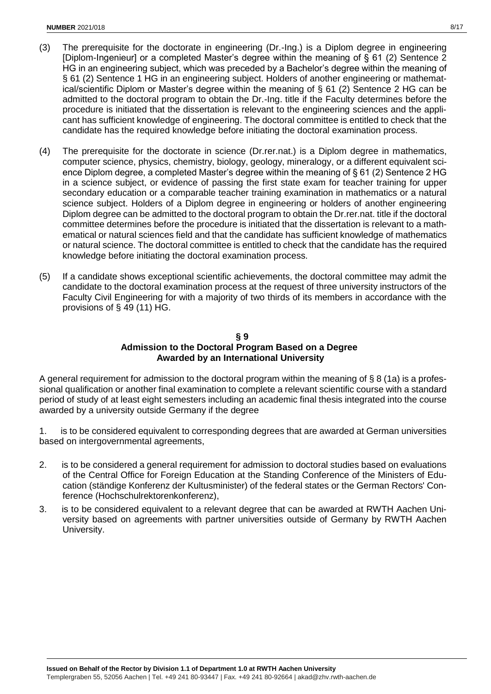- (3) The prerequisite for the doctorate in engineering (Dr.-Ing.) is a Diplom degree in engineering [Diplom-Ingenieur] or a completed Master's degree within the meaning of § 61 (2) Sentence 2 HG in an engineering subject, which was preceded by a Bachelor's degree within the meaning of § 61 (2) Sentence 1 HG in an engineering subject. Holders of another engineering or mathematical/scientific Diplom or Master's degree within the meaning of § 61 (2) Sentence 2 HG can be admitted to the doctoral program to obtain the Dr.-Ing. title if the Faculty determines before the procedure is initiated that the dissertation is relevant to the engineering sciences and the applicant has sufficient knowledge of engineering. The doctoral committee is entitled to check that the candidate has the required knowledge before initiating the doctoral examination process.
- (4) The prerequisite for the doctorate in science (Dr.rer.nat.) is a Diplom degree in mathematics, computer science, physics, chemistry, biology, geology, mineralogy, or a different equivalent science Diplom degree, a completed Master's degree within the meaning of § 61 (2) Sentence 2 HG in a science subject, or evidence of passing the first state exam for teacher training for upper secondary education or a comparable teacher training examination in mathematics or a natural science subject. Holders of a Diplom degree in engineering or holders of another engineering Diplom degree can be admitted to the doctoral program to obtain the Dr.rer.nat. title if the doctoral committee determines before the procedure is initiated that the dissertation is relevant to a mathematical or natural sciences field and that the candidate has sufficient knowledge of mathematics or natural science. The doctoral committee is entitled to check that the candidate has the required knowledge before initiating the doctoral examination process.
- (5) If a candidate shows exceptional scientific achievements, the doctoral committee may admit the candidate to the doctoral examination process at the request of three university instructors of the Faculty Civil Engineering for with a majority of two thirds of its members in accordance with the provisions of § 49 (11) HG.

## **§ 9 Admission to the Doctoral Program Based on a Degree Awarded by an International University**

A general requirement for admission to the doctoral program within the meaning of  $\S 8$  (1a) is a professional qualification or another final examination to complete a relevant scientific course with a standard period of study of at least eight semesters including an academic final thesis integrated into the course awarded by a university outside Germany if the degree

1. is to be considered equivalent to corresponding degrees that are awarded at German universities based on intergovernmental agreements,

- 2. is to be considered a general requirement for admission to doctoral studies based on evaluations of the Central Office for Foreign Education at the Standing Conference of the Ministers of Education (ständige Konferenz der Kultusminister) of the federal states or the German Rectors' Conference (Hochschulrektorenkonferenz),
- 3. is to be considered equivalent to a relevant degree that can be awarded at RWTH Aachen University based on agreements with partner universities outside of Germany by RWTH Aachen University.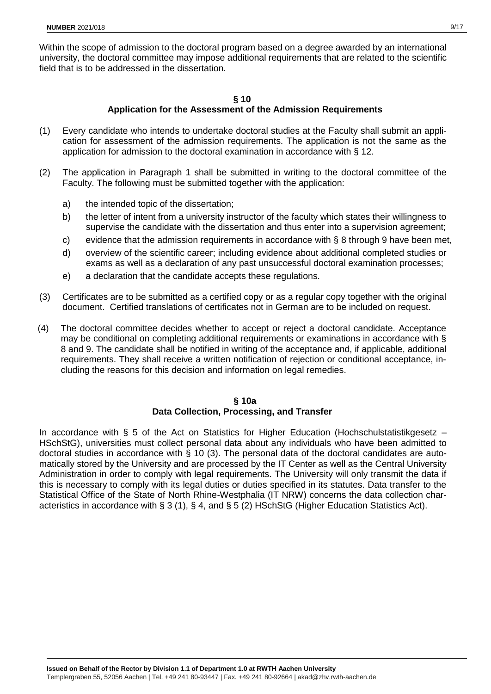Within the scope of admission to the doctoral program based on a degree awarded by an international university, the doctoral committee may impose additional requirements that are related to the scientific field that is to be addressed in the dissertation.

#### **§ 10 Application for the Assessment of the Admission Requirements**

- (1) Every candidate who intends to undertake doctoral studies at the Faculty shall submit an application for assessment of the admission requirements. The application is not the same as the application for admission to the doctoral examination in accordance with § 12.
- (2) The application in Paragraph 1 shall be submitted in writing to the doctoral committee of the Faculty. The following must be submitted together with the application:
	- a) the intended topic of the dissertation;
	- b) the letter of intent from a university instructor of the faculty which states their willingness to supervise the candidate with the dissertation and thus enter into a supervision agreement;
	- c) evidence that the admission requirements in accordance with § 8 through 9 have been met,
	- d) overview of the scientific career; including evidence about additional completed studies or exams as well as a declaration of any past unsuccessful doctoral examination processes;
	- e) a declaration that the candidate accepts these regulations.
- (3) Certificates are to be submitted as a certified copy or as a regular copy together with the original document. Certified translations of certificates not in German are to be included on request.
- (4) The doctoral committee decides whether to accept or reject a doctoral candidate. Acceptance may be conditional on completing additional requirements or examinations in accordance with § 8 and 9. The candidate shall be notified in writing of the acceptance and, if applicable, additional requirements. They shall receive a written notification of rejection or conditional acceptance, including the reasons for this decision and information on legal remedies.

#### **§ 10a**

#### **Data Collection, Processing, and Transfer**

In accordance with  $\S$  5 of the Act on Statistics for Higher Education (Hochschulstatistikgesetz – HSchStG), universities must collect personal data about any individuals who have been admitted to doctoral studies in accordance with § 10 (3). The personal data of the doctoral candidates are automatically stored by the University and are processed by the IT Center as well as the Central University Administration in order to comply with legal requirements. The University will only transmit the data if this is necessary to comply with its legal duties or duties specified in its statutes. Data transfer to the Statistical Office of the State of North Rhine-Westphalia (IT NRW) concerns the data collection characteristics in accordance with § 3 (1), § 4, and § 5 (2) HSchStG (Higher Education Statistics Act).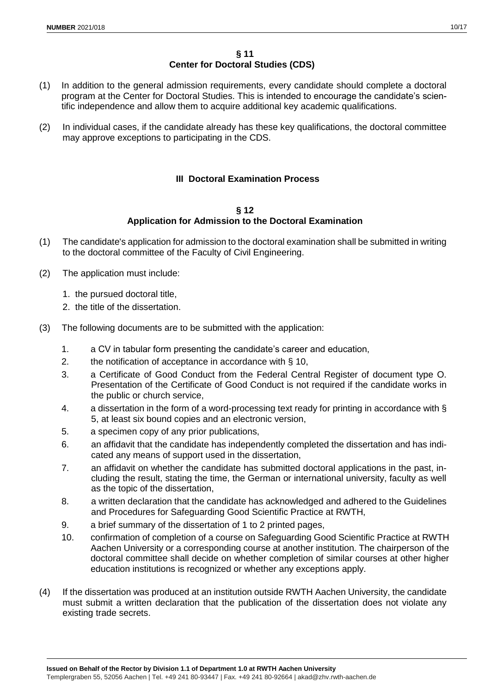- (1) In addition to the general admission requirements, every candidate should complete a doctoral program at the Center for Doctoral Studies. This is intended to encourage the candidate's scientific independence and allow them to acquire additional key academic qualifications.
- (2) In individual cases, if the candidate already has these key qualifications, the doctoral committee may approve exceptions to participating in the CDS.

# **III Doctoral Examination Process**

#### **§ 12 Application for Admission to the Doctoral Examination**

- (1) The candidate's application for admission to the doctoral examination shall be submitted in writing to the doctoral committee of the Faculty of Civil Engineering.
- (2) The application must include:
	- 1. the pursued doctoral title,
	- 2. the title of the dissertation.
- (3) The following documents are to be submitted with the application:
	- 1. a CV in tabular form presenting the candidate's career and education,
	- 2. the notification of acceptance in accordance with § 10,
	- 3. a Certificate of Good Conduct from the Federal Central Register of document type O. Presentation of the Certificate of Good Conduct is not required if the candidate works in the public or church service,
	- 4. a dissertation in the form of a word-processing text ready for printing in accordance with § 5, at least six bound copies and an electronic version,
	- 5. a specimen copy of any prior publications,
	- 6. an affidavit that the candidate has independently completed the dissertation and has indicated any means of support used in the dissertation,
	- 7. an affidavit on whether the candidate has submitted doctoral applications in the past, including the result, stating the time, the German or international university, faculty as well as the topic of the dissertation,
	- 8. a written declaration that the candidate has acknowledged and adhered to the Guidelines and Procedures for Safeguarding Good Scientific Practice at RWTH,
	- 9. a brief summary of the dissertation of 1 to 2 printed pages,
	- 10. confirmation of completion of a course on Safeguarding Good Scientific Practice at RWTH Aachen University or a corresponding course at another institution. The chairperson of the doctoral committee shall decide on whether completion of similar courses at other higher education institutions is recognized or whether any exceptions apply.
- (4) If the dissertation was produced at an institution outside RWTH Aachen University, the candidate must submit a written declaration that the publication of the dissertation does not violate any existing trade secrets.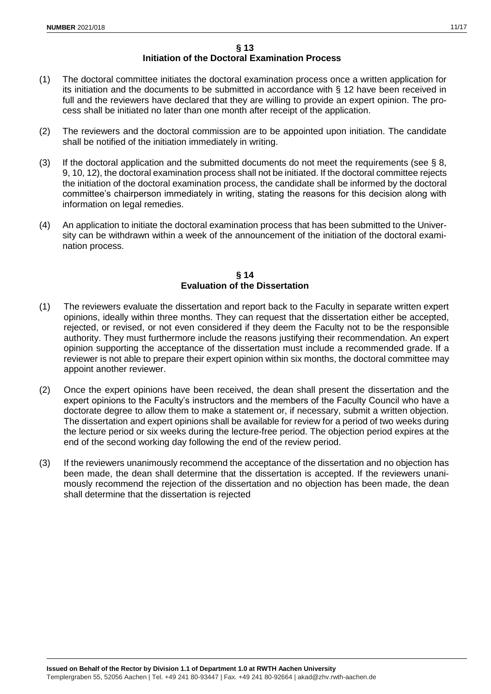- (1) The doctoral committee initiates the doctoral examination process once a written application for its initiation and the documents to be submitted in accordance with § 12 have been received in full and the reviewers have declared that they are willing to provide an expert opinion. The process shall be initiated no later than one month after receipt of the application.
- (2) The reviewers and the doctoral commission are to be appointed upon initiation. The candidate shall be notified of the initiation immediately in writing.
- (3) If the doctoral application and the submitted documents do not meet the requirements (see  $\S$  8, 9, 10, 12), the doctoral examination process shall not be initiated. If the doctoral committee rejects the initiation of the doctoral examination process, the candidate shall be informed by the doctoral committee's chairperson immediately in writing, stating the reasons for this decision along with information on legal remedies.
- (4) An application to initiate the doctoral examination process that has been submitted to the University can be withdrawn within a week of the announcement of the initiation of the doctoral examination process.

## **§ 14 Evaluation of the Dissertation**

- (1) The reviewers evaluate the dissertation and report back to the Faculty in separate written expert opinions, ideally within three months. They can request that the dissertation either be accepted, rejected, or revised, or not even considered if they deem the Faculty not to be the responsible authority. They must furthermore include the reasons justifying their recommendation. An expert opinion supporting the acceptance of the dissertation must include a recommended grade. If a reviewer is not able to prepare their expert opinion within six months, the doctoral committee may appoint another reviewer.
- (2) Once the expert opinions have been received, the dean shall present the dissertation and the expert opinions to the Faculty's instructors and the members of the Faculty Council who have a doctorate degree to allow them to make a statement or, if necessary, submit a written objection. The dissertation and expert opinions shall be available for review for a period of two weeks during the lecture period or six weeks during the lecture-free period. The objection period expires at the end of the second working day following the end of the review period.
- (3) If the reviewers unanimously recommend the acceptance of the dissertation and no objection has been made, the dean shall determine that the dissertation is accepted. If the reviewers unanimously recommend the rejection of the dissertation and no objection has been made, the dean shall determine that the dissertation is rejected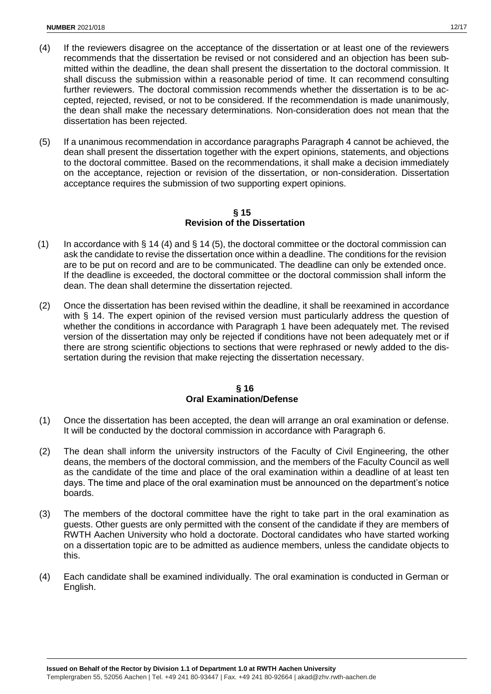- (4) If the reviewers disagree on the acceptance of the dissertation or at least one of the reviewers recommends that the dissertation be revised or not considered and an objection has been submitted within the deadline, the dean shall present the dissertation to the doctoral commission. It shall discuss the submission within a reasonable period of time. It can recommend consulting further reviewers. The doctoral commission recommends whether the dissertation is to be accepted, rejected, revised, or not to be considered. If the recommendation is made unanimously, the dean shall make the necessary determinations. Non-consideration does not mean that the dissertation has been rejected.
- (5) If a unanimous recommendation in accordance paragraphs Paragraph 4 cannot be achieved, the dean shall present the dissertation together with the expert opinions, statements, and objections to the doctoral committee. Based on the recommendations, it shall make a decision immediately on the acceptance, rejection or revision of the dissertation, or non-consideration. Dissertation acceptance requires the submission of two supporting expert opinions.

## **§ 15 Revision of the Dissertation**

- (1) In accordance with § 14 (4) and § 14 (5), the doctoral committee or the doctoral commission can ask the candidate to revise the dissertation once within a deadline. The conditions for the revision are to be put on record and are to be communicated. The deadline can only be extended once. If the deadline is exceeded, the doctoral committee or the doctoral commission shall inform the dean. The dean shall determine the dissertation rejected.
- (2) Once the dissertation has been revised within the deadline, it shall be reexamined in accordance with § 14. The expert opinion of the revised version must particularly address the question of whether the conditions in accordance with Paragraph 1 have been adequately met. The revised version of the dissertation may only be rejected if conditions have not been adequately met or if there are strong scientific objections to sections that were rephrased or newly added to the dissertation during the revision that make rejecting the dissertation necessary.

## **§ 16 Oral Examination/Defense**

- (1) Once the dissertation has been accepted, the dean will arrange an oral examination or defense. It will be conducted by the doctoral commission in accordance with Paragraph 6.
- (2) The dean shall inform the university instructors of the Faculty of Civil Engineering, the other deans, the members of the doctoral commission, and the members of the Faculty Council as well as the candidate of the time and place of the oral examination within a deadline of at least ten days. The time and place of the oral examination must be announced on the department's notice boards.
- (3) The members of the doctoral committee have the right to take part in the oral examination as guests. Other guests are only permitted with the consent of the candidate if they are members of RWTH Aachen University who hold a doctorate. Doctoral candidates who have started working on a dissertation topic are to be admitted as audience members, unless the candidate objects to this.
- (4) Each candidate shall be examined individually. The oral examination is conducted in German or English.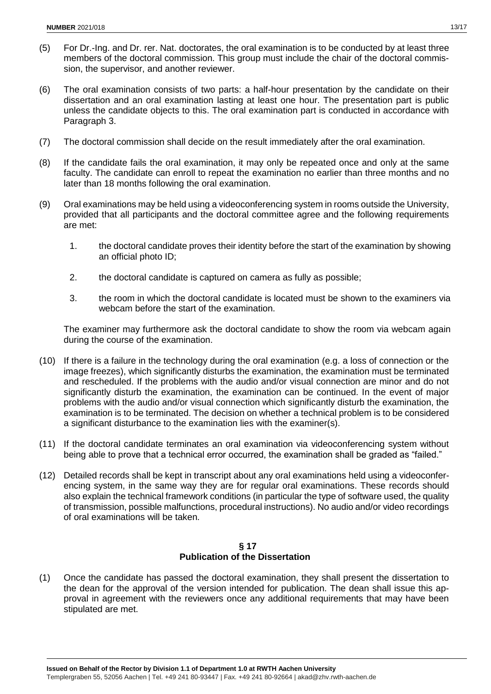- (5) For Dr.-Ing. and Dr. rer. Nat. doctorates, the oral examination is to be conducted by at least three members of the doctoral commission. This group must include the chair of the doctoral commission, the supervisor, and another reviewer.
- (6) The oral examination consists of two parts: a half-hour presentation by the candidate on their dissertation and an oral examination lasting at least one hour. The presentation part is public unless the candidate objects to this. The oral examination part is conducted in accordance with Paragraph 3.
- (7) The doctoral commission shall decide on the result immediately after the oral examination.
- (8) If the candidate fails the oral examination, it may only be repeated once and only at the same faculty. The candidate can enroll to repeat the examination no earlier than three months and no later than 18 months following the oral examination.
- (9) Oral examinations may be held using a videoconferencing system in rooms outside the University, provided that all participants and the doctoral committee agree and the following requirements are met:
	- 1. the doctoral candidate proves their identity before the start of the examination by showing an official photo ID;
	- 2. the doctoral candidate is captured on camera as fully as possible;
	- 3. the room in which the doctoral candidate is located must be shown to the examiners via webcam before the start of the examination.

The examiner may furthermore ask the doctoral candidate to show the room via webcam again during the course of the examination.

- (10) If there is a failure in the technology during the oral examination (e.g. a loss of connection or the image freezes), which significantly disturbs the examination, the examination must be terminated and rescheduled. If the problems with the audio and/or visual connection are minor and do not significantly disturb the examination, the examination can be continued. In the event of major problems with the audio and/or visual connection which significantly disturb the examination, the examination is to be terminated. The decision on whether a technical problem is to be considered a significant disturbance to the examination lies with the examiner(s).
- (11) If the doctoral candidate terminates an oral examination via videoconferencing system without being able to prove that a technical error occurred, the examination shall be graded as "failed."
- (12) Detailed records shall be kept in transcript about any oral examinations held using a videoconferencing system, in the same way they are for regular oral examinations. These records should also explain the technical framework conditions (in particular the type of software used, the quality of transmission, possible malfunctions, procedural instructions). No audio and/or video recordings of oral examinations will be taken.

#### **§ 17 Publication of the Dissertation**

(1) Once the candidate has passed the doctoral examination, they shall present the dissertation to the dean for the approval of the version intended for publication. The dean shall issue this approval in agreement with the reviewers once any additional requirements that may have been stipulated are met.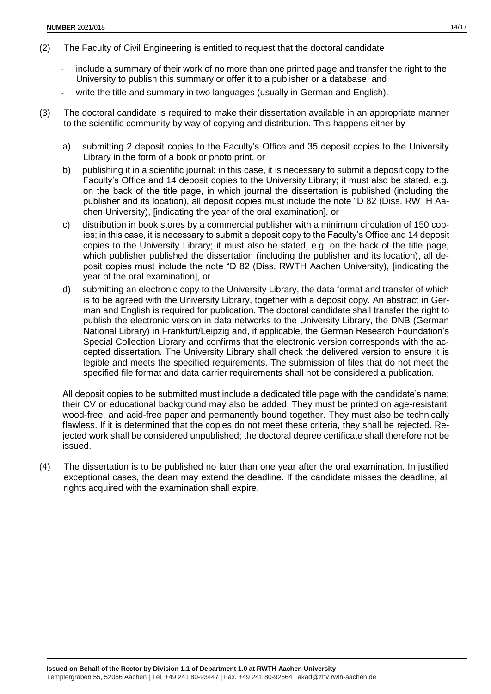- (2) The Faculty of Civil Engineering is entitled to request that the doctoral candidate
	- include a summary of their work of no more than one printed page and transfer the right to the University to publish this summary or offer it to a publisher or a database, and
	- write the title and summary in two languages (usually in German and English).
- (3) The doctoral candidate is required to make their dissertation available in an appropriate manner to the scientific community by way of copying and distribution. This happens either by
	- a) submitting 2 deposit copies to the Faculty's Office and 35 deposit copies to the University Library in the form of a book or photo print, or
	- b) publishing it in a scientific journal; in this case, it is necessary to submit a deposit copy to the Faculty's Office and 14 deposit copies to the University Library; it must also be stated, e.g. on the back of the title page, in which journal the dissertation is published (including the publisher and its location), all deposit copies must include the note "D 82 (Diss. RWTH Aachen University), [indicating the year of the oral examination], or
	- c) distribution in book stores by a commercial publisher with a minimum circulation of 150 copies; in this case, it is necessary to submit a deposit copy to the Faculty's Office and 14 deposit copies to the University Library; it must also be stated, e.g. on the back of the title page, which publisher published the dissertation (including the publisher and its location), all deposit copies must include the note "D 82 (Diss. RWTH Aachen University), [indicating the year of the oral examination], or
	- d) submitting an electronic copy to the University Library, the data format and transfer of which is to be agreed with the University Library, together with a deposit copy. An abstract in German and English is required for publication. The doctoral candidate shall transfer the right to publish the electronic version in data networks to the University Library, the DNB (German National Library) in Frankfurt/Leipzig and, if applicable, the German Research Foundation's Special Collection Library and confirms that the electronic version corresponds with the accepted dissertation. The University Library shall check the delivered version to ensure it is legible and meets the specified requirements. The submission of files that do not meet the specified file format and data carrier requirements shall not be considered a publication.

All deposit copies to be submitted must include a dedicated title page with the candidate's name; their CV or educational background may also be added. They must be printed on age-resistant, wood-free, and acid-free paper and permanently bound together. They must also be technically flawless. If it is determined that the copies do not meet these criteria, they shall be rejected. Rejected work shall be considered unpublished; the doctoral degree certificate shall therefore not be issued.

(4) The dissertation is to be published no later than one year after the oral examination. In justified exceptional cases, the dean may extend the deadline. If the candidate misses the deadline, all rights acquired with the examination shall expire.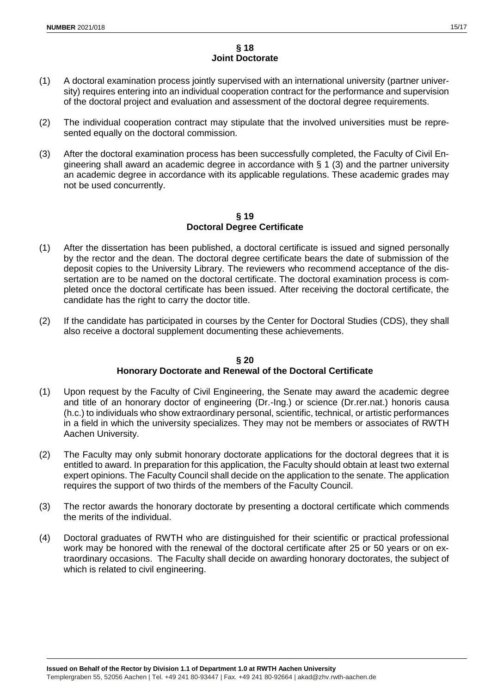## **§ 18 Joint Doctorate**

- (1) A doctoral examination process jointly supervised with an international university (partner university) requires entering into an individual cooperation contract for the performance and supervision of the doctoral project and evaluation and assessment of the doctoral degree requirements.
- (2) The individual cooperation contract may stipulate that the involved universities must be represented equally on the doctoral commission.
- (3) After the doctoral examination process has been successfully completed, the Faculty of Civil Engineering shall award an academic degree in accordance with § 1 (3) and the partner university an academic degree in accordance with its applicable regulations. These academic grades may not be used concurrently.

#### **§ 19 Doctoral Degree Certificate**

- (1) After the dissertation has been published, a doctoral certificate is issued and signed personally by the rector and the dean. The doctoral degree certificate bears the date of submission of the deposit copies to the University Library. The reviewers who recommend acceptance of the dissertation are to be named on the doctoral certificate. The doctoral examination process is completed once the doctoral certificate has been issued. After receiving the doctoral certificate, the candidate has the right to carry the doctor title.
- (2) If the candidate has participated in courses by the Center for Doctoral Studies (CDS), they shall also receive a doctoral supplement documenting these achievements.

## **§ 20 Honorary Doctorate and Renewal of the Doctoral Certificate**

- (1) Upon request by the Faculty of Civil Engineering, the Senate may award the academic degree and title of an honorary doctor of engineering (Dr.-Ing.) or science (Dr.rer.nat.) honoris causa (h.c.) to individuals who show extraordinary personal, scientific, technical, or artistic performances in a field in which the university specializes. They may not be members or associates of RWTH Aachen University.
- (2) The Faculty may only submit honorary doctorate applications for the doctoral degrees that it is entitled to award. In preparation for this application, the Faculty should obtain at least two external expert opinions. The Faculty Council shall decide on the application to the senate. The application requires the support of two thirds of the members of the Faculty Council.
- (3) The rector awards the honorary doctorate by presenting a doctoral certificate which commends the merits of the individual.
- (4) Doctoral graduates of RWTH who are distinguished for their scientific or practical professional work may be honored with the renewal of the doctoral certificate after 25 or 50 years or on extraordinary occasions. The Faculty shall decide on awarding honorary doctorates, the subject of which is related to civil engineering.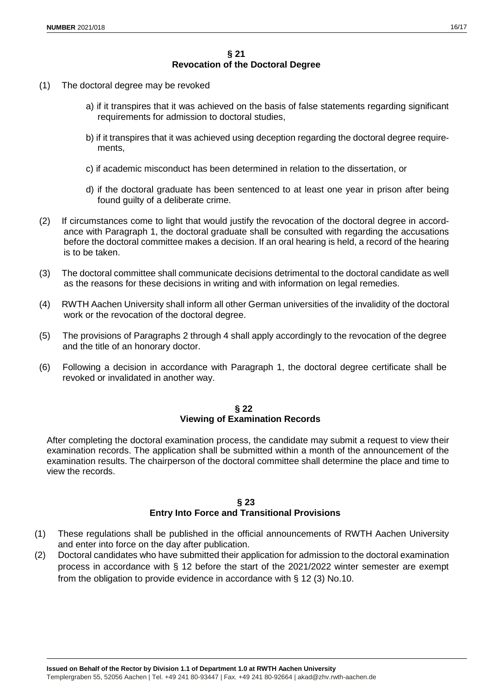- (1) The doctoral degree may be revoked
	- a) if it transpires that it was achieved on the basis of false statements regarding significant requirements for admission to doctoral studies,
	- b) if it transpires that it was achieved using deception regarding the doctoral degree requirements,
	- c) if academic misconduct has been determined in relation to the dissertation, or
	- d) if the doctoral graduate has been sentenced to at least one year in prison after being found guilty of a deliberate crime.
- (2) If circumstances come to light that would justify the revocation of the doctoral degree in accordance with Paragraph 1, the doctoral graduate shall be consulted with regarding the accusations before the doctoral committee makes a decision. If an oral hearing is held, a record of the hearing is to be taken.
- (3) The doctoral committee shall communicate decisions detrimental to the doctoral candidate as well as the reasons for these decisions in writing and with information on legal remedies.
- (4) RWTH Aachen University shall inform all other German universities of the invalidity of the doctoral work or the revocation of the doctoral degree.
- (5) The provisions of Paragraphs 2 through 4 shall apply accordingly to the revocation of the degree and the title of an honorary doctor.
- (6) Following a decision in accordance with Paragraph 1, the doctoral degree certificate shall be revoked or invalidated in another way.

#### **§ 22 Viewing of Examination Records**

After completing the doctoral examination process, the candidate may submit a request to view their examination records. The application shall be submitted within a month of the announcement of the examination results. The chairperson of the doctoral committee shall determine the place and time to view the records.

## **§ 23 Entry Into Force and Transitional Provisions**

- (1) These regulations shall be published in the official announcements of RWTH Aachen University and enter into force on the day after publication.
- (2) Doctoral candidates who have submitted their application for admission to the doctoral examination process in accordance with § 12 before the start of the 2021/2022 winter semester are exempt from the obligation to provide evidence in accordance with § 12 (3) No.10.